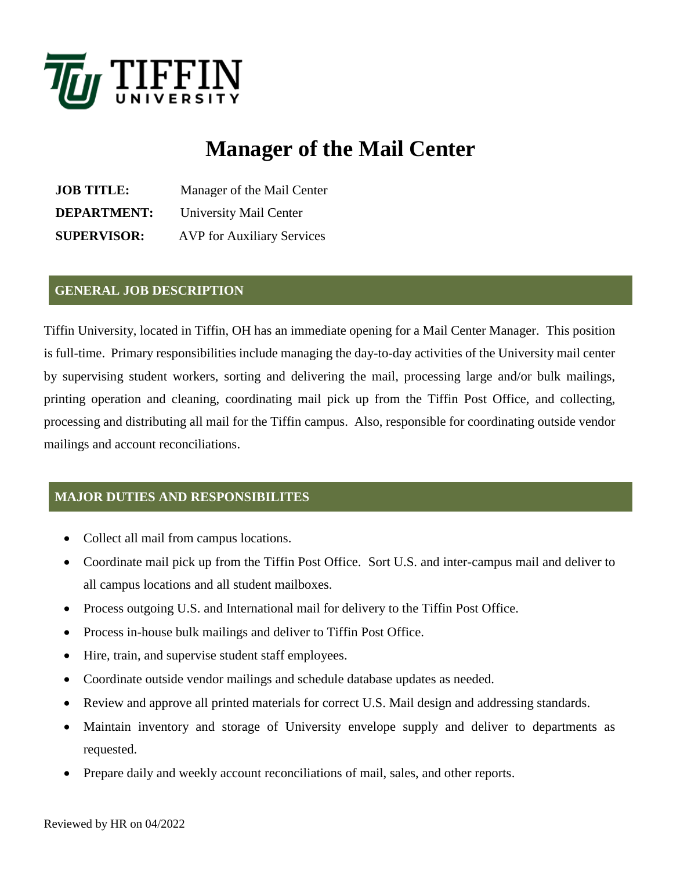

# **Manager of the Mail Center**

| <b>JOB TITLE:</b>  | Manager of the Mail Center        |
|--------------------|-----------------------------------|
| <b>DEPARTMENT:</b> | University Mail Center            |
| <b>SUPERVISOR:</b> | <b>AVP</b> for Auxiliary Services |

## **GENERAL JOB DESCRIPTION**

Tiffin University, located in Tiffin, OH has an immediate opening for a Mail Center Manager. This position is full-time. Primary responsibilities include managing the day-to-day activities of the University mail center by supervising student workers, sorting and delivering the mail, processing large and/or bulk mailings, printing operation and cleaning, coordinating mail pick up from the Tiffin Post Office, and collecting, processing and distributing all mail for the Tiffin campus. Also, responsible for coordinating outside vendor mailings and account reconciliations.

## **MAJOR DUTIES AND RESPONSIBILITES**

- Collect all mail from campus locations.
- Coordinate mail pick up from the Tiffin Post Office. Sort U.S. and inter-campus mail and deliver to all campus locations and all student mailboxes.
- Process outgoing U.S. and International mail for delivery to the Tiffin Post Office.
- Process in-house bulk mailings and deliver to Tiffin Post Office.
- Hire, train, and supervise student staff employees.
- Coordinate outside vendor mailings and schedule database updates as needed.
- Review and approve all printed materials for correct U.S. Mail design and addressing standards.
- Maintain inventory and storage of University envelope supply and deliver to departments as requested.
- Prepare daily and weekly account reconciliations of mail, sales, and other reports.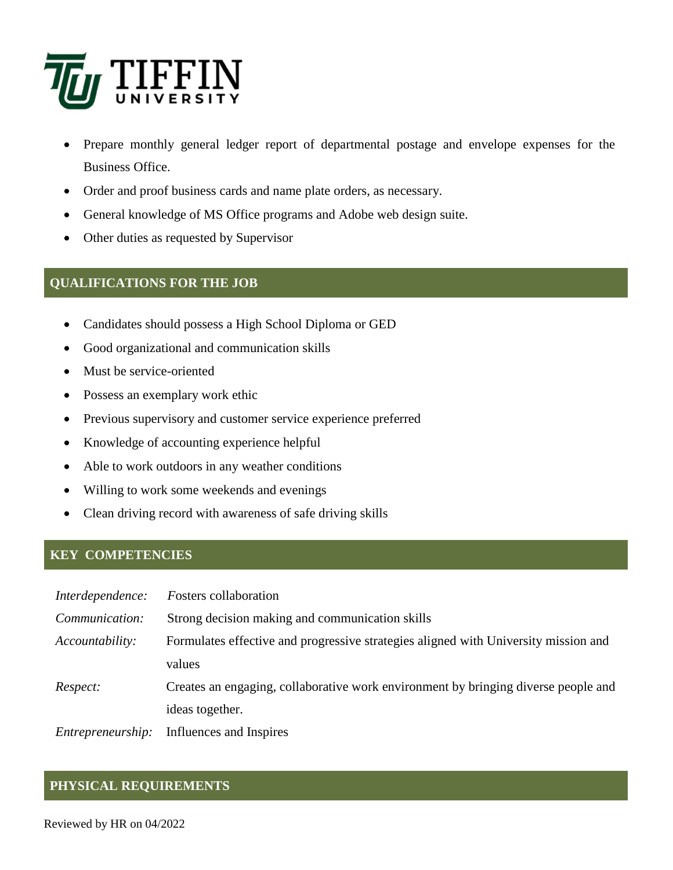

- Prepare monthly general ledger report of departmental postage and envelope expenses for the Business Office.
- Order and proof business cards and name plate orders, as necessary.
- General knowledge of MS Office programs and Adobe web design suite.
- Other duties as requested by Supervisor

## **QUALIFICATIONS FOR THE JOB**

- Candidates should possess a High School Diploma or GED
- Good organizational and communication skills
- Must be service-oriented
- Possess an exemplary work ethic
- Previous supervisory and customer service experience preferred
- Knowledge of accounting experience helpful
- Able to work outdoors in any weather conditions
- Willing to work some weekends and evenings
- Clean driving record with awareness of safe driving skills

## **KEY COMPETENCIES**

| Interdependence:  | <b>Fosters</b> collaboration                                                        |
|-------------------|-------------------------------------------------------------------------------------|
| Communication:    | Strong decision making and communication skills                                     |
| Accountability:   | Formulates effective and progressive strategies aligned with University mission and |
|                   | values                                                                              |
| Respect:          | Creates an engaging, collaborative work environment by bringing diverse people and  |
|                   | ideas together.                                                                     |
| Entrepreneurship: | Influences and Inspires                                                             |

## **PHYSICAL REQUIREMENTS**